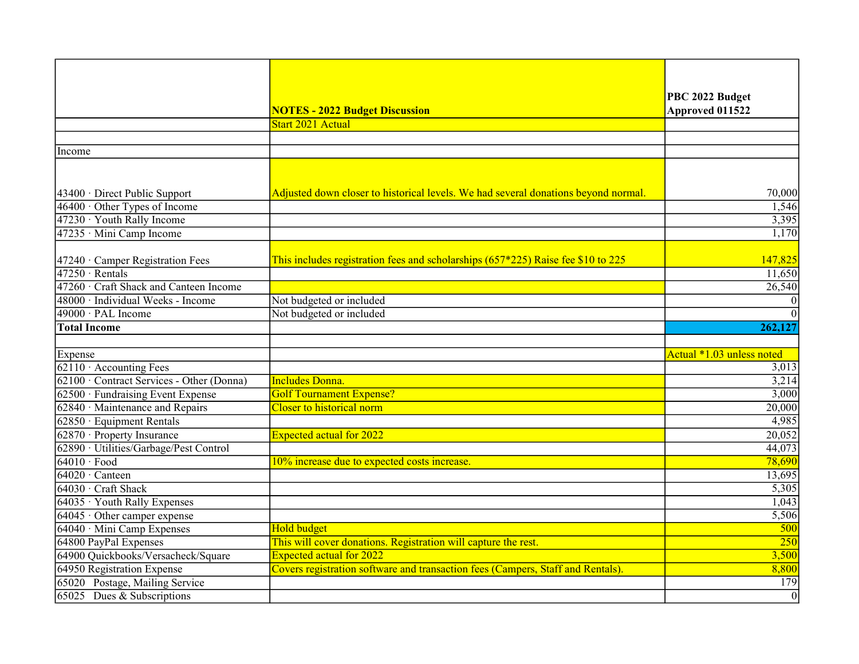|                                           |                                                                                    | PBC 2022 Budget           |
|-------------------------------------------|------------------------------------------------------------------------------------|---------------------------|
|                                           | <b>NOTES - 2022 Budget Discussion</b>                                              | Approved 011522           |
|                                           | Start 2021 Actual                                                                  |                           |
|                                           |                                                                                    |                           |
| Income                                    |                                                                                    |                           |
|                                           |                                                                                    |                           |
|                                           |                                                                                    |                           |
| 43400 · Direct Public Support             | Adjusted down closer to historical levels. We had several donations beyond normal. | 70,000                    |
| 46400 Other Types of Income               |                                                                                    | 1,546                     |
| 47230 · Youth Rally Income                |                                                                                    | 3,395                     |
| 47235 · Mini Camp Income                  |                                                                                    | 1,170                     |
|                                           |                                                                                    |                           |
| 47240 · Camper Registration Fees          | This includes registration fees and scholarships $(657*225)$ Raise fee \$10 to 225 | 147,825                   |
| $47250 \cdot$ Rentals                     |                                                                                    | 11,650                    |
| 47260 · Craft Shack and Canteen Income    |                                                                                    | 26,540                    |
| 48000 · Individual Weeks - Income         | Not budgeted or included                                                           | $\overline{0}$            |
| 49000 · PAL Income                        | Not budgeted or included                                                           | $\overline{0}$            |
| <b>Total Income</b>                       |                                                                                    | 262,127                   |
|                                           |                                                                                    |                           |
| Expense                                   |                                                                                    | Actual *1.03 unless noted |
| $62110 \cdot$ Accounting Fees             |                                                                                    | 3,013                     |
| 62100 · Contract Services - Other (Donna) | <b>Includes Donna.</b>                                                             | 3,214                     |
| 62500 · Fundraising Event Expense         | <b>Golf Tournament Expense?</b>                                                    | 3,000                     |
| 62840 Maintenance and Repairs             | Closer to historical norm                                                          | 20,000                    |
| $62850 \cdot$ Equipment Rentals           |                                                                                    | 4,985                     |
| 62870 · Property Insurance                | <b>Expected actual for 2022</b>                                                    | 20,052                    |
| 62890 · Utilities/Garbage/Pest Control    |                                                                                    | 44,073                    |
| $64010 \cdot$ Food                        | 10% increase due to expected costs increase.                                       | 78,690                    |
| $64020 \cdot$ Canteen                     |                                                                                    | 13,695                    |
| 64030 · Craft Shack                       |                                                                                    | 5,305                     |
| 64035 Youth Rally Expenses                |                                                                                    | 1,043                     |
| $64045 \cdot$ Other camper expense        |                                                                                    | 5,506                     |
| 64040 · Mini Camp Expenses                | <b>Hold budget</b>                                                                 | 500                       |
| 64800 PayPal Expenses                     | This will cover donations. Registration will capture the rest.                     | $\overline{250}$          |
| 64900 Quickbooks/Versacheck/Square        | <b>Expected actual for 2022</b>                                                    | 3,500                     |
| 64950 Registration Expense                | Covers registration software and transaction fees (Campers, Staff and Rentals).    | 8,800                     |
| 65020 Postage, Mailing Service            |                                                                                    | 179                       |
| 65025 Dues & Subscriptions                |                                                                                    | $\overline{0}$            |